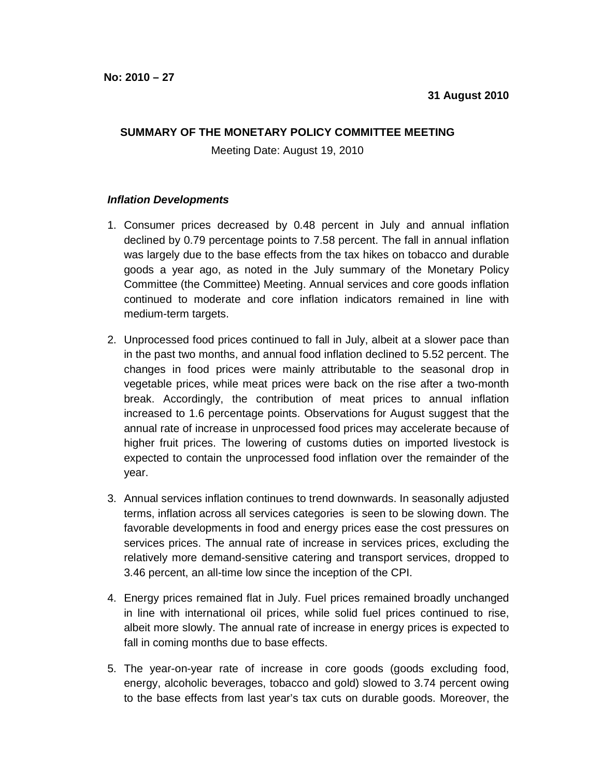## **SUMMARY OF THE MONETARY POLICY COMMITTEE MEETING**

Meeting Date: August 19, 2010

## **Inflation Developments**

- 1. Consumer prices decreased by 0.48 percent in July and annual inflation declined by 0.79 percentage points to 7.58 percent. The fall in annual inflation was largely due to the base effects from the tax hikes on tobacco and durable goods a year ago, as noted in the July summary of the Monetary Policy Committee (the Committee) Meeting. Annual services and core goods inflation continued to moderate and core inflation indicators remained in line with medium-term targets.
- 2. Unprocessed food prices continued to fall in July, albeit at a slower pace than in the past two months, and annual food inflation declined to 5.52 percent. The changes in food prices were mainly attributable to the seasonal drop in vegetable prices, while meat prices were back on the rise after a two-month break. Accordingly, the contribution of meat prices to annual inflation increased to 1.6 percentage points. Observations for August suggest that the annual rate of increase in unprocessed food prices may accelerate because of higher fruit prices. The lowering of customs duties on imported livestock is expected to contain the unprocessed food inflation over the remainder of the year.
- 3. Annual services inflation continues to trend downwards. In seasonally adjusted terms, inflation across all services categories is seen to be slowing down. The favorable developments in food and energy prices ease the cost pressures on services prices. The annual rate of increase in services prices, excluding the relatively more demand-sensitive catering and transport services, dropped to 3.46 percent, an all-time low since the inception of the CPI.
- 4. Energy prices remained flat in July. Fuel prices remained broadly unchanged in line with international oil prices, while solid fuel prices continued to rise, albeit more slowly. The annual rate of increase in energy prices is expected to fall in coming months due to base effects.
- 5. The year-on-year rate of increase in core goods (goods excluding food, energy, alcoholic beverages, tobacco and gold) slowed to 3.74 percent owing to the base effects from last year's tax cuts on durable goods. Moreover, the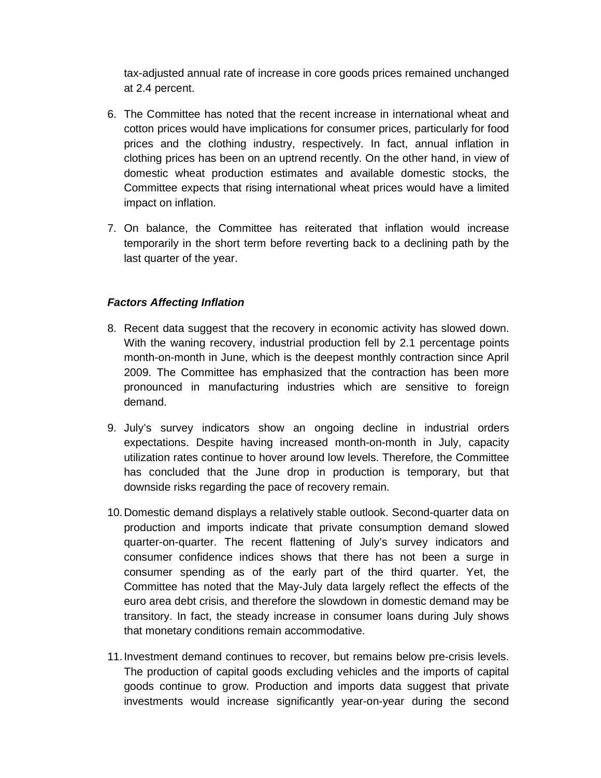tax-adjusted annual rate of increase in core goods prices remained unchanged at 2.4 percent.

- 6. The Committee has noted that the recent increase in international wheat and cotton prices would have implications for consumer prices, particularly for food prices and the clothing industry, respectively. In fact, annual inflation in clothing prices has been on an uptrend recently. On the other hand, in view of domestic wheat production estimates and available domestic stocks, the Committee expects that rising international wheat prices would have a limited impact on inflation.
- 7. On balance, the Committee has reiterated that inflation would increase temporarily in the short term before reverting back to a declining path by the last quarter of the year.

## **Factors Affecting Inflation**

- 8. Recent data suggest that the recovery in economic activity has slowed down. With the waning recovery, industrial production fell by 2.1 percentage points month-on-month in June, which is the deepest monthly contraction since April 2009. The Committee has emphasized that the contraction has been more pronounced in manufacturing industries which are sensitive to foreign demand.
- 9. July's survey indicators show an ongoing decline in industrial orders expectations. Despite having increased month-on-month in July, capacity utilization rates continue to hover around low levels. Therefore, the Committee has concluded that the June drop in production is temporary, but that downside risks regarding the pace of recovery remain.
- 10. Domestic demand displays a relatively stable outlook. Second-quarter data on production and imports indicate that private consumption demand slowed quarter-on-quarter. The recent flattening of July's survey indicators and consumer confidence indices shows that there has not been a surge in consumer spending as of the early part of the third quarter. Yet, the Committee has noted that the May-July data largely reflect the effects of the euro area debt crisis, and therefore the slowdown in domestic demand may be transitory. In fact, the steady increase in consumer loans during July shows that monetary conditions remain accommodative.
- 11. Investment demand continues to recover, but remains below pre-crisis levels. The production of capital goods excluding vehicles and the imports of capital goods continue to grow. Production and imports data suggest that private investments would increase significantly year-on-year during the second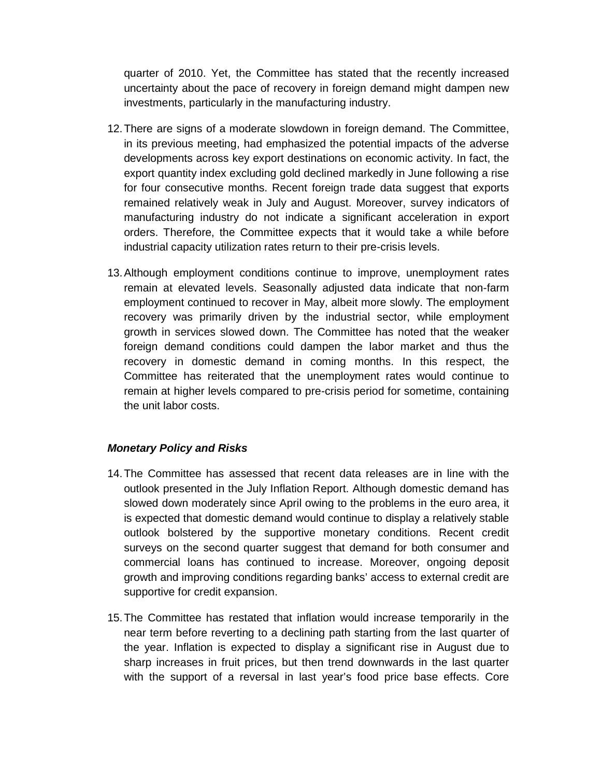quarter of 2010. Yet, the Committee has stated that the recently increased uncertainty about the pace of recovery in foreign demand might dampen new investments, particularly in the manufacturing industry.

- 12. There are signs of a moderate slowdown in foreign demand. The Committee, in its previous meeting, had emphasized the potential impacts of the adverse developments across key export destinations on economic activity. In fact, the export quantity index excluding gold declined markedly in June following a rise for four consecutive months. Recent foreign trade data suggest that exports remained relatively weak in July and August. Moreover, survey indicators of manufacturing industry do not indicate a significant acceleration in export orders. Therefore, the Committee expects that it would take a while before industrial capacity utilization rates return to their pre-crisis levels.
- 13. Although employment conditions continue to improve, unemployment rates remain at elevated levels. Seasonally adjusted data indicate that non-farm employment continued to recover in May, albeit more slowly. The employment recovery was primarily driven by the industrial sector, while employment growth in services slowed down. The Committee has noted that the weaker foreign demand conditions could dampen the labor market and thus the recovery in domestic demand in coming months. In this respect, the Committee has reiterated that the unemployment rates would continue to remain at higher levels compared to pre-crisis period for sometime, containing the unit labor costs.

## **Monetary Policy and Risks**

- 14. The Committee has assessed that recent data releases are in line with the outlook presented in the July Inflation Report. Although domestic demand has slowed down moderately since April owing to the problems in the euro area, it is expected that domestic demand would continue to display a relatively stable outlook bolstered by the supportive monetary conditions. Recent credit surveys on the second quarter suggest that demand for both consumer and commercial loans has continued to increase. Moreover, ongoing deposit growth and improving conditions regarding banks' access to external credit are supportive for credit expansion.
- 15. The Committee has restated that inflation would increase temporarily in the near term before reverting to a declining path starting from the last quarter of the year. Inflation is expected to display a significant rise in August due to sharp increases in fruit prices, but then trend downwards in the last quarter with the support of a reversal in last year's food price base effects. Core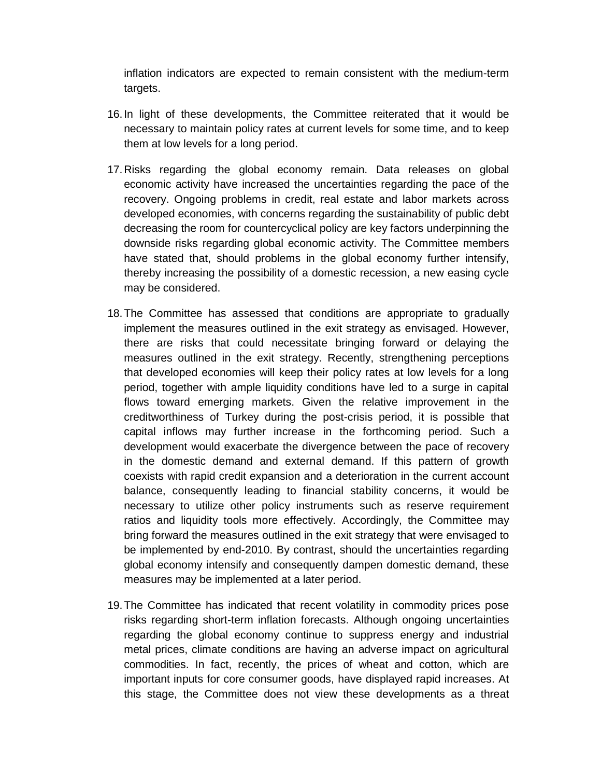inflation indicators are expected to remain consistent with the medium-term targets.

- 16. In light of these developments, the Committee reiterated that it would be necessary to maintain policy rates at current levels for some time, and to keep them at low levels for a long period.
- 17. Risks regarding the global economy remain. Data releases on global economic activity have increased the uncertainties regarding the pace of the recovery. Ongoing problems in credit, real estate and labor markets across developed economies, with concerns regarding the sustainability of public debt decreasing the room for countercyclical policy are key factors underpinning the downside risks regarding global economic activity. The Committee members have stated that, should problems in the global economy further intensify, thereby increasing the possibility of a domestic recession, a new easing cycle may be considered.
- 18. The Committee has assessed that conditions are appropriate to gradually implement the measures outlined in the exit strategy as envisaged. However, there are risks that could necessitate bringing forward or delaying the measures outlined in the exit strategy. Recently, strengthening perceptions that developed economies will keep their policy rates at low levels for a long period, together with ample liquidity conditions have led to a surge in capital flows toward emerging markets. Given the relative improvement in the creditworthiness of Turkey during the post-crisis period, it is possible that capital inflows may further increase in the forthcoming period. Such a development would exacerbate the divergence between the pace of recovery in the domestic demand and external demand. If this pattern of growth coexists with rapid credit expansion and a deterioration in the current account balance, consequently leading to financial stability concerns, it would be necessary to utilize other policy instruments such as reserve requirement ratios and liquidity tools more effectively. Accordingly, the Committee may bring forward the measures outlined in the exit strategy that were envisaged to be implemented by end-2010. By contrast, should the uncertainties regarding global economy intensify and consequently dampen domestic demand, these measures may be implemented at a later period.
- 19. The Committee has indicated that recent volatility in commodity prices pose risks regarding short-term inflation forecasts. Although ongoing uncertainties regarding the global economy continue to suppress energy and industrial metal prices, climate conditions are having an adverse impact on agricultural commodities. In fact, recently, the prices of wheat and cotton, which are important inputs for core consumer goods, have displayed rapid increases. At this stage, the Committee does not view these developments as a threat